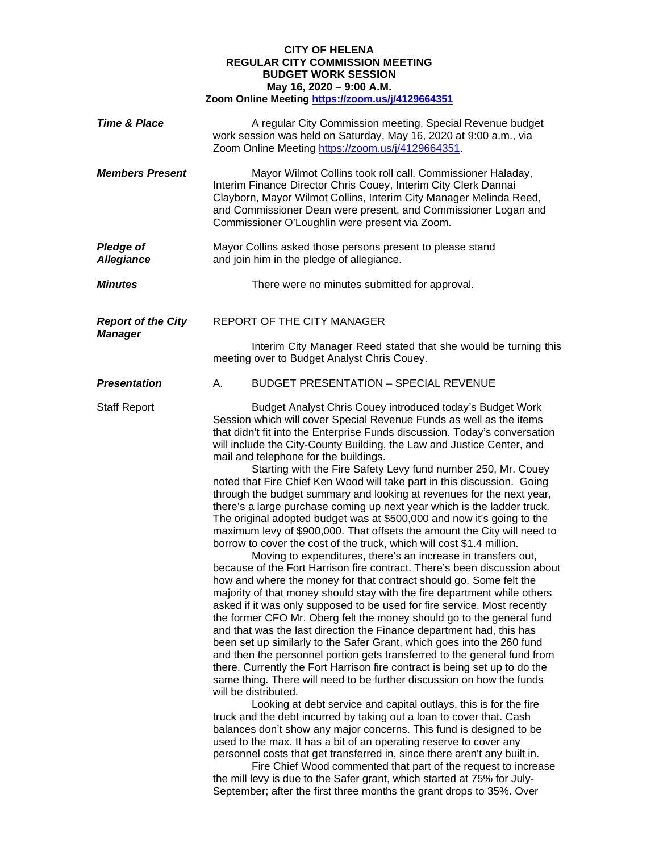## **CITY OF HELENA REGULAR CITY COMMISSION MEETING BUDGET WORK SESSION May 16, 2020 – 9:00 A.M. Zoom Online Meeting<https://zoom.us/j/4129664351>**

| <b>Time &amp; Place</b>                     | A regular City Commission meeting, Special Revenue budget<br>work session was held on Saturday, May 16, 2020 at 9:00 a.m., via<br>Zoom Online Meeting https://zoom.us/j/4129664351.                                                                                                                                                                                                                                                                                                                                                                                                                                                                                                                                                                                                                                                                                                                                                                                                                                                                                                                                                                                                                                                                                                                                                                                                                                                                                                                                                                                                                                                                                                                                                                                                                                                                                                                                                                                                                                                                                                                                                                                                                                                                                                                                            |
|---------------------------------------------|--------------------------------------------------------------------------------------------------------------------------------------------------------------------------------------------------------------------------------------------------------------------------------------------------------------------------------------------------------------------------------------------------------------------------------------------------------------------------------------------------------------------------------------------------------------------------------------------------------------------------------------------------------------------------------------------------------------------------------------------------------------------------------------------------------------------------------------------------------------------------------------------------------------------------------------------------------------------------------------------------------------------------------------------------------------------------------------------------------------------------------------------------------------------------------------------------------------------------------------------------------------------------------------------------------------------------------------------------------------------------------------------------------------------------------------------------------------------------------------------------------------------------------------------------------------------------------------------------------------------------------------------------------------------------------------------------------------------------------------------------------------------------------------------------------------------------------------------------------------------------------------------------------------------------------------------------------------------------------------------------------------------------------------------------------------------------------------------------------------------------------------------------------------------------------------------------------------------------------------------------------------------------------------------------------------------------------|
| <b>Members Present</b>                      | Mayor Wilmot Collins took roll call. Commissioner Haladay,<br>Interim Finance Director Chris Couey, Interim City Clerk Dannai<br>Clayborn, Mayor Wilmot Collins, Interim City Manager Melinda Reed,<br>and Commissioner Dean were present, and Commissioner Logan and<br>Commissioner O'Loughlin were present via Zoom.                                                                                                                                                                                                                                                                                                                                                                                                                                                                                                                                                                                                                                                                                                                                                                                                                                                                                                                                                                                                                                                                                                                                                                                                                                                                                                                                                                                                                                                                                                                                                                                                                                                                                                                                                                                                                                                                                                                                                                                                        |
| <b>Pledge of</b><br><b>Allegiance</b>       | Mayor Collins asked those persons present to please stand<br>and join him in the pledge of allegiance.                                                                                                                                                                                                                                                                                                                                                                                                                                                                                                                                                                                                                                                                                                                                                                                                                                                                                                                                                                                                                                                                                                                                                                                                                                                                                                                                                                                                                                                                                                                                                                                                                                                                                                                                                                                                                                                                                                                                                                                                                                                                                                                                                                                                                         |
| <b>Minutes</b>                              | There were no minutes submitted for approval.                                                                                                                                                                                                                                                                                                                                                                                                                                                                                                                                                                                                                                                                                                                                                                                                                                                                                                                                                                                                                                                                                                                                                                                                                                                                                                                                                                                                                                                                                                                                                                                                                                                                                                                                                                                                                                                                                                                                                                                                                                                                                                                                                                                                                                                                                  |
| <b>Report of the City</b><br><b>Manager</b> | REPORT OF THE CITY MANAGER                                                                                                                                                                                                                                                                                                                                                                                                                                                                                                                                                                                                                                                                                                                                                                                                                                                                                                                                                                                                                                                                                                                                                                                                                                                                                                                                                                                                                                                                                                                                                                                                                                                                                                                                                                                                                                                                                                                                                                                                                                                                                                                                                                                                                                                                                                     |
|                                             | Interim City Manager Reed stated that she would be turning this<br>meeting over to Budget Analyst Chris Couey.                                                                                                                                                                                                                                                                                                                                                                                                                                                                                                                                                                                                                                                                                                                                                                                                                                                                                                                                                                                                                                                                                                                                                                                                                                                                                                                                                                                                                                                                                                                                                                                                                                                                                                                                                                                                                                                                                                                                                                                                                                                                                                                                                                                                                 |
| <b>Presentation</b>                         | А.<br><b>BUDGET PRESENTATION - SPECIAL REVENUE</b>                                                                                                                                                                                                                                                                                                                                                                                                                                                                                                                                                                                                                                                                                                                                                                                                                                                                                                                                                                                                                                                                                                                                                                                                                                                                                                                                                                                                                                                                                                                                                                                                                                                                                                                                                                                                                                                                                                                                                                                                                                                                                                                                                                                                                                                                             |
| <b>Staff Report</b>                         | Budget Analyst Chris Couey introduced today's Budget Work<br>Session which will cover Special Revenue Funds as well as the items<br>that didn't fit into the Enterprise Funds discussion. Today's conversation<br>will include the City-County Building, the Law and Justice Center, and<br>mail and telephone for the buildings.<br>Starting with the Fire Safety Levy fund number 250, Mr. Couey<br>noted that Fire Chief Ken Wood will take part in this discussion. Going<br>through the budget summary and looking at revenues for the next year,<br>there's a large purchase coming up next year which is the ladder truck.<br>The original adopted budget was at \$500,000 and now it's going to the<br>maximum levy of \$900,000. That offsets the amount the City will need to<br>borrow to cover the cost of the truck, which will cost \$1.4 million.<br>Moving to expenditures, there's an increase in transfers out,<br>because of the Fort Harrison fire contract. There's been discussion about<br>how and where the money for that contract should go. Some felt the<br>majority of that money should stay with the fire department while others<br>asked if it was only supposed to be used for fire service. Most recently<br>the former CFO Mr. Oberg felt the money should go to the general fund<br>and that was the last direction the Finance department had, this has<br>been set up similarly to the Safer Grant, which goes into the 260 fund<br>and then the personnel portion gets transferred to the general fund from<br>there. Currently the Fort Harrison fire contract is being set up to do the<br>same thing. There will need to be further discussion on how the funds<br>will be distributed.<br>Looking at debt service and capital outlays, this is for the fire<br>truck and the debt incurred by taking out a loan to cover that. Cash<br>balances don't show any major concerns. This fund is designed to be<br>used to the max. It has a bit of an operating reserve to cover any<br>personnel costs that get transferred in, since there aren't any built in.<br>Fire Chief Wood commented that part of the request to increase<br>the mill levy is due to the Safer grant, which started at 75% for July-<br>September; after the first three months the grant drops to 35%. Over |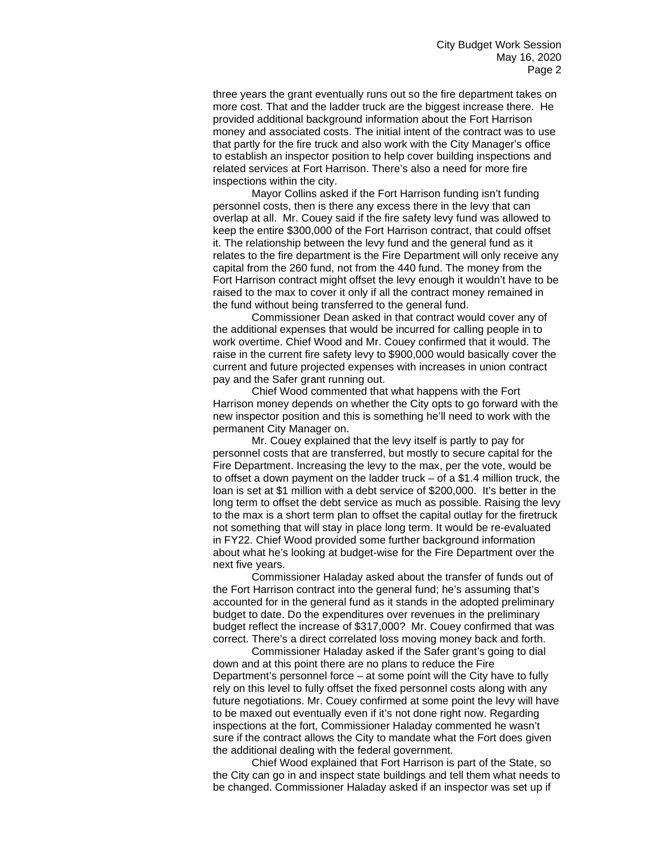three years the grant eventually runs out so the fire department takes on more cost. That and the ladder truck are the biggest increase there. He provided additional background information about the Fort Harrison money and associated costs. The initial intent of the contract was to use that partly for the fire truck and also work with the City Manager's office to establish an inspector position to help cover building inspections and related services at Fort Harrison. There's also a need for more fire inspections within the city.

Mayor Collins asked if the Fort Harrison funding isn't funding personnel costs, then is there any excess there in the levy that can overlap at all. Mr. Couey said if the fire safety levy fund was allowed to keep the entire \$300,000 of the Fort Harrison contract, that could offset it. The relationship between the levy fund and the general fund as it relates to the fire department is the Fire Department will only receive any capital from the 260 fund, not from the 440 fund. The money from the Fort Harrison contract might offset the levy enough it wouldn't have to be raised to the max to cover it only if all the contract money remained in the fund without being transferred to the general fund.

Commissioner Dean asked in that contract would cover any of the additional expenses that would be incurred for calling people in to work overtime. Chief Wood and Mr. Couey confirmed that it would. The raise in the current fire safety levy to \$900,000 would basically cover the current and future projected expenses with increases in union contract pay and the Safer grant running out.

Chief Wood commented that what happens with the Fort Harrison money depends on whether the City opts to go forward with the new inspector position and this is something he'll need to work with the permanent City Manager on.

Mr. Couey explained that the levy itself is partly to pay for personnel costs that are transferred, but mostly to secure capital for the Fire Department. Increasing the levy to the max, per the vote, would be to offset a down payment on the ladder truck – of a \$1.4 million truck, the loan is set at \$1 million with a debt service of \$200,000. It's better in the long term to offset the debt service as much as possible. Raising the levy to the max is a short term plan to offset the capital outlay for the firetruck not something that will stay in place long term. It would be re-evaluated in FY22. Chief Wood provided some further background information about what he's looking at budget-wise for the Fire Department over the next five years.

Commissioner Haladay asked about the transfer of funds out of the Fort Harrison contract into the general fund; he's assuming that's accounted for in the general fund as it stands in the adopted preliminary budget to date. Do the expenditures over revenues in the preliminary budget reflect the increase of \$317,000? Mr. Couey confirmed that was correct. There's a direct correlated loss moving money back and forth.

Commissioner Haladay asked if the Safer grant's going to dial down and at this point there are no plans to reduce the Fire Department's personnel force – at some point will the City have to fully rely on this level to fully offset the fixed personnel costs along with any future negotiations. Mr. Couey confirmed at some point the levy will have to be maxed out eventually even if it's not done right now. Regarding inspections at the fort, Commissioner Haladay commented he wasn't sure if the contract allows the City to mandate what the Fort does given the additional dealing with the federal government.

Chief Wood explained that Fort Harrison is part of the State, so the City can go in and inspect state buildings and tell them what needs to be changed. Commissioner Haladay asked if an inspector was set up if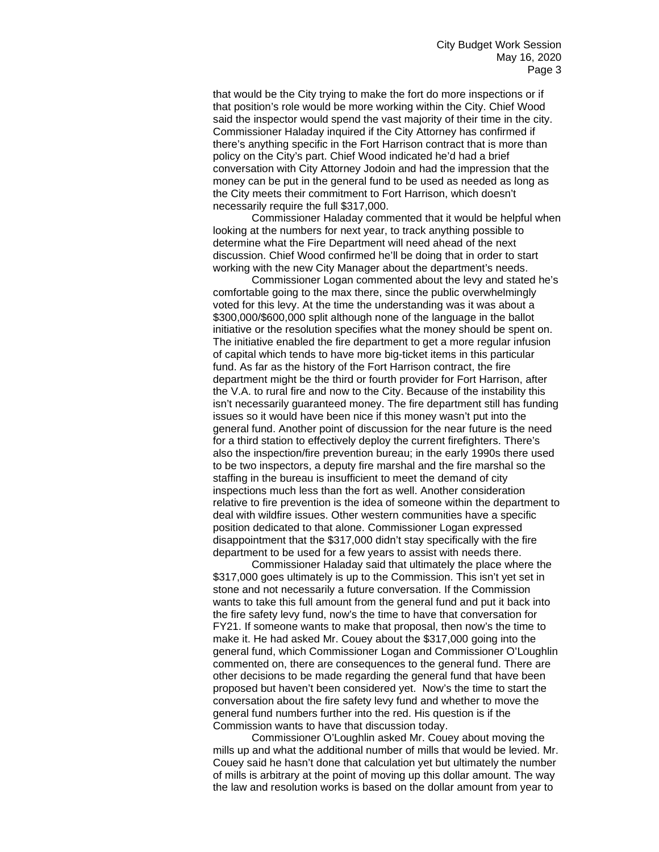that would be the City trying to make the fort do more inspections or if that position's role would be more working within the City. Chief Wood said the inspector would spend the vast majority of their time in the city. Commissioner Haladay inquired if the City Attorney has confirmed if there's anything specific in the Fort Harrison contract that is more than policy on the City's part. Chief Wood indicated he'd had a brief conversation with City Attorney Jodoin and had the impression that the money can be put in the general fund to be used as needed as long as the City meets their commitment to Fort Harrison, which doesn't necessarily require the full \$317,000.

Commissioner Haladay commented that it would be helpful when looking at the numbers for next year, to track anything possible to determine what the Fire Department will need ahead of the next discussion. Chief Wood confirmed he'll be doing that in order to start working with the new City Manager about the department's needs.

Commissioner Logan commented about the levy and stated he's comfortable going to the max there, since the public overwhelmingly voted for this levy. At the time the understanding was it was about a \$300,000/\$600,000 split although none of the language in the ballot initiative or the resolution specifies what the money should be spent on. The initiative enabled the fire department to get a more regular infusion of capital which tends to have more big-ticket items in this particular fund. As far as the history of the Fort Harrison contract, the fire department might be the third or fourth provider for Fort Harrison, after the V.A. to rural fire and now to the City. Because of the instability this isn't necessarily guaranteed money. The fire department still has funding issues so it would have been nice if this money wasn't put into the general fund. Another point of discussion for the near future is the need for a third station to effectively deploy the current firefighters. There's also the inspection/fire prevention bureau; in the early 1990s there used to be two inspectors, a deputy fire marshal and the fire marshal so the staffing in the bureau is insufficient to meet the demand of city inspections much less than the fort as well. Another consideration relative to fire prevention is the idea of someone within the department to deal with wildfire issues. Other western communities have a specific position dedicated to that alone. Commissioner Logan expressed disappointment that the \$317,000 didn't stay specifically with the fire department to be used for a few years to assist with needs there.

Commissioner Haladay said that ultimately the place where the \$317,000 goes ultimately is up to the Commission. This isn't yet set in stone and not necessarily a future conversation. If the Commission wants to take this full amount from the general fund and put it back into the fire safety levy fund, now's the time to have that conversation for FY21. If someone wants to make that proposal, then now's the time to make it. He had asked Mr. Couey about the \$317,000 going into the general fund, which Commissioner Logan and Commissioner O'Loughlin commented on, there are consequences to the general fund. There are other decisions to be made regarding the general fund that have been proposed but haven't been considered yet. Now's the time to start the conversation about the fire safety levy fund and whether to move the general fund numbers further into the red. His question is if the Commission wants to have that discussion today.

Commissioner O'Loughlin asked Mr. Couey about moving the mills up and what the additional number of mills that would be levied. Mr. Couey said he hasn't done that calculation yet but ultimately the number of mills is arbitrary at the point of moving up this dollar amount. The way the law and resolution works is based on the dollar amount from year to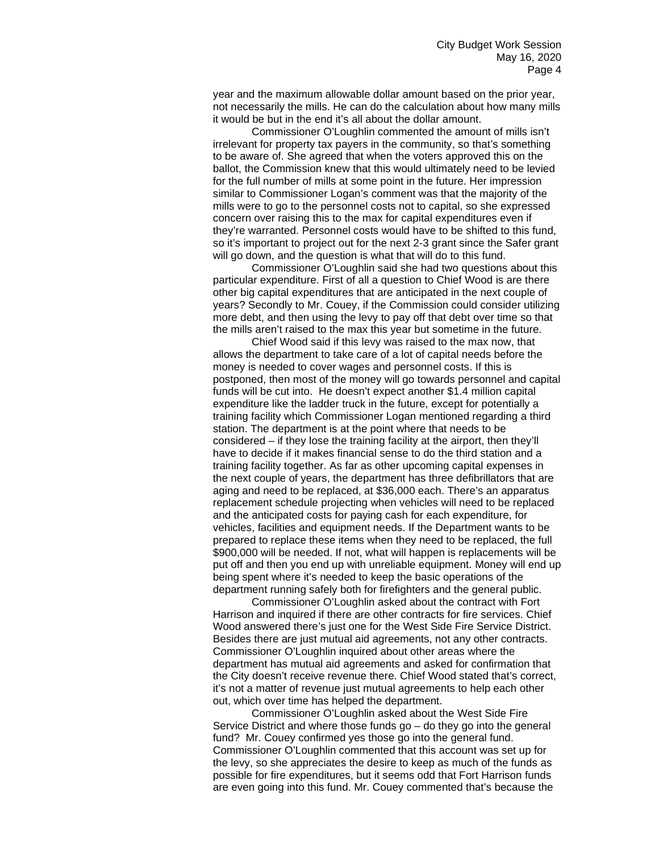year and the maximum allowable dollar amount based on the prior year, not necessarily the mills. He can do the calculation about how many mills it would be but in the end it's all about the dollar amount.

Commissioner O'Loughlin commented the amount of mills isn't irrelevant for property tax payers in the community, so that's something to be aware of. She agreed that when the voters approved this on the ballot, the Commission knew that this would ultimately need to be levied for the full number of mills at some point in the future. Her impression similar to Commissioner Logan's comment was that the majority of the mills were to go to the personnel costs not to capital, so she expressed concern over raising this to the max for capital expenditures even if they're warranted. Personnel costs would have to be shifted to this fund, so it's important to project out for the next 2-3 grant since the Safer grant will go down, and the question is what that will do to this fund.

Commissioner O'Loughlin said she had two questions about this particular expenditure. First of all a question to Chief Wood is are there other big capital expenditures that are anticipated in the next couple of years? Secondly to Mr. Couey, if the Commission could consider utilizing more debt, and then using the levy to pay off that debt over time so that the mills aren't raised to the max this year but sometime in the future.

Chief Wood said if this levy was raised to the max now, that allows the department to take care of a lot of capital needs before the money is needed to cover wages and personnel costs. If this is postponed, then most of the money will go towards personnel and capital funds will be cut into. He doesn't expect another \$1.4 million capital expenditure like the ladder truck in the future, except for potentially a training facility which Commissioner Logan mentioned regarding a third station. The department is at the point where that needs to be considered – if they lose the training facility at the airport, then they'll have to decide if it makes financial sense to do the third station and a training facility together. As far as other upcoming capital expenses in the next couple of years, the department has three defibrillators that are aging and need to be replaced, at \$36,000 each. There's an apparatus replacement schedule projecting when vehicles will need to be replaced and the anticipated costs for paying cash for each expenditure, for vehicles, facilities and equipment needs. If the Department wants to be prepared to replace these items when they need to be replaced, the full \$900,000 will be needed. If not, what will happen is replacements will be put off and then you end up with unreliable equipment. Money will end up being spent where it's needed to keep the basic operations of the department running safely both for firefighters and the general public.

Commissioner O'Loughlin asked about the contract with Fort Harrison and inquired if there are other contracts for fire services. Chief Wood answered there's just one for the West Side Fire Service District. Besides there are just mutual aid agreements, not any other contracts. Commissioner O'Loughlin inquired about other areas where the department has mutual aid agreements and asked for confirmation that the City doesn't receive revenue there. Chief Wood stated that's correct, it's not a matter of revenue just mutual agreements to help each other out, which over time has helped the department.

Commissioner O'Loughlin asked about the West Side Fire Service District and where those funds go – do they go into the general fund? Mr. Couey confirmed yes those go into the general fund. Commissioner O'Loughlin commented that this account was set up for the levy, so she appreciates the desire to keep as much of the funds as possible for fire expenditures, but it seems odd that Fort Harrison funds are even going into this fund. Mr. Couey commented that's because the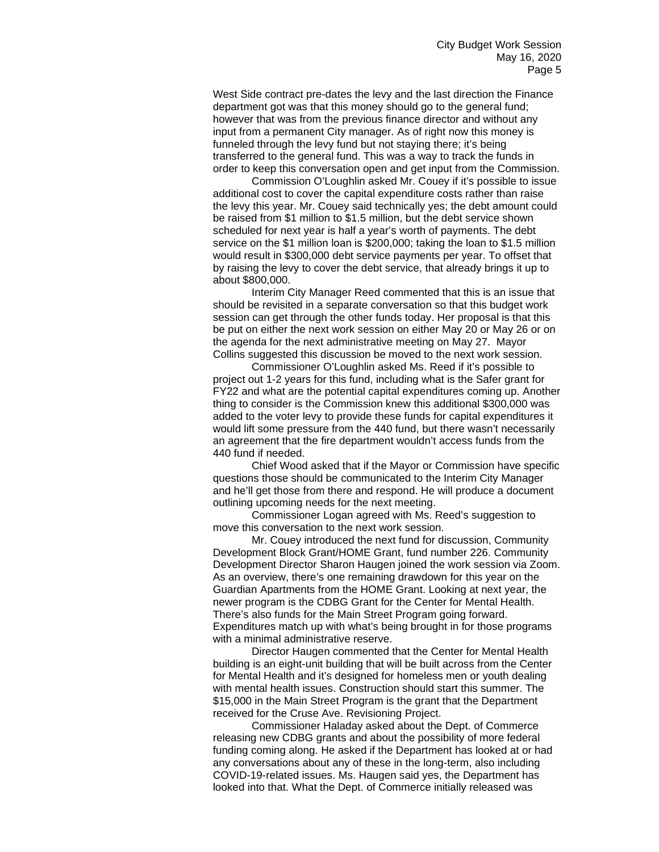West Side contract pre-dates the levy and the last direction the Finance department got was that this money should go to the general fund; however that was from the previous finance director and without any input from a permanent City manager. As of right now this money is funneled through the levy fund but not staying there; it's being transferred to the general fund. This was a way to track the funds in order to keep this conversation open and get input from the Commission.

Commission O'Loughlin asked Mr. Couey if it's possible to issue additional cost to cover the capital expenditure costs rather than raise the levy this year. Mr. Couey said technically yes; the debt amount could be raised from \$1 million to \$1.5 million, but the debt service shown scheduled for next year is half a year's worth of payments. The debt service on the \$1 million loan is \$200,000; taking the loan to \$1.5 million would result in \$300,000 debt service payments per year. To offset that by raising the levy to cover the debt service, that already brings it up to about \$800,000.

Interim City Manager Reed commented that this is an issue that should be revisited in a separate conversation so that this budget work session can get through the other funds today. Her proposal is that this be put on either the next work session on either May 20 or May 26 or on the agenda for the next administrative meeting on May 27. Mayor Collins suggested this discussion be moved to the next work session.

Commissioner O'Loughlin asked Ms. Reed if it's possible to project out 1-2 years for this fund, including what is the Safer grant for FY22 and what are the potential capital expenditures coming up. Another thing to consider is the Commission knew this additional \$300,000 was added to the voter levy to provide these funds for capital expenditures it would lift some pressure from the 440 fund, but there wasn't necessarily an agreement that the fire department wouldn't access funds from the 440 fund if needed.

Chief Wood asked that if the Mayor or Commission have specific questions those should be communicated to the Interim City Manager and he'll get those from there and respond. He will produce a document outlining upcoming needs for the next meeting.

Commissioner Logan agreed with Ms. Reed's suggestion to move this conversation to the next work session.

Mr. Couey introduced the next fund for discussion, Community Development Block Grant/HOME Grant, fund number 226. Community Development Director Sharon Haugen joined the work session via Zoom. As an overview, there's one remaining drawdown for this year on the Guardian Apartments from the HOME Grant. Looking at next year, the newer program is the CDBG Grant for the Center for Mental Health. There's also funds for the Main Street Program going forward. Expenditures match up with what's being brought in for those programs with a minimal administrative reserve.

Director Haugen commented that the Center for Mental Health building is an eight-unit building that will be built across from the Center for Mental Health and it's designed for homeless men or youth dealing with mental health issues. Construction should start this summer. The \$15,000 in the Main Street Program is the grant that the Department received for the Cruse Ave. Revisioning Project.

Commissioner Haladay asked about the Dept. of Commerce releasing new CDBG grants and about the possibility of more federal funding coming along. He asked if the Department has looked at or had any conversations about any of these in the long-term, also including COVID-19-related issues. Ms. Haugen said yes, the Department has looked into that. What the Dept. of Commerce initially released was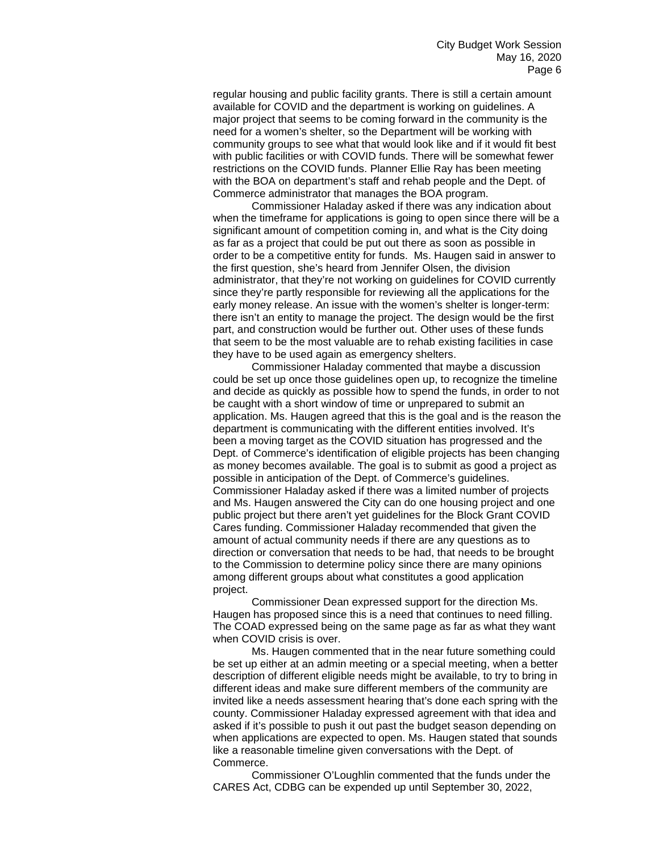regular housing and public facility grants. There is still a certain amount available for COVID and the department is working on guidelines. A major project that seems to be coming forward in the community is the need for a women's shelter, so the Department will be working with community groups to see what that would look like and if it would fit best with public facilities or with COVID funds. There will be somewhat fewer restrictions on the COVID funds. Planner Ellie Ray has been meeting with the BOA on department's staff and rehab people and the Dept. of Commerce administrator that manages the BOA program.

Commissioner Haladay asked if there was any indication about when the timeframe for applications is going to open since there will be a significant amount of competition coming in, and what is the City doing as far as a project that could be put out there as soon as possible in order to be a competitive entity for funds. Ms. Haugen said in answer to the first question, she's heard from Jennifer Olsen, the division administrator, that they're not working on guidelines for COVID currently since they're partly responsible for reviewing all the applications for the early money release. An issue with the women's shelter is longer-term: there isn't an entity to manage the project. The design would be the first part, and construction would be further out. Other uses of these funds that seem to be the most valuable are to rehab existing facilities in case they have to be used again as emergency shelters.

Commissioner Haladay commented that maybe a discussion could be set up once those guidelines open up, to recognize the timeline and decide as quickly as possible how to spend the funds, in order to not be caught with a short window of time or unprepared to submit an application. Ms. Haugen agreed that this is the goal and is the reason the department is communicating with the different entities involved. It's been a moving target as the COVID situation has progressed and the Dept. of Commerce's identification of eligible projects has been changing as money becomes available. The goal is to submit as good a project as possible in anticipation of the Dept. of Commerce's guidelines. Commissioner Haladay asked if there was a limited number of projects and Ms. Haugen answered the City can do one housing project and one public project but there aren't yet guidelines for the Block Grant COVID Cares funding. Commissioner Haladay recommended that given the amount of actual community needs if there are any questions as to direction or conversation that needs to be had, that needs to be brought to the Commission to determine policy since there are many opinions among different groups about what constitutes a good application project.

Commissioner Dean expressed support for the direction Ms. Haugen has proposed since this is a need that continues to need filling. The COAD expressed being on the same page as far as what they want when COVID crisis is over.

Ms. Haugen commented that in the near future something could be set up either at an admin meeting or a special meeting, when a better description of different eligible needs might be available, to try to bring in different ideas and make sure different members of the community are invited like a needs assessment hearing that's done each spring with the county. Commissioner Haladay expressed agreement with that idea and asked if it's possible to push it out past the budget season depending on when applications are expected to open. Ms. Haugen stated that sounds like a reasonable timeline given conversations with the Dept. of Commerce.

Commissioner O'Loughlin commented that the funds under the CARES Act, CDBG can be expended up until September 30, 2022,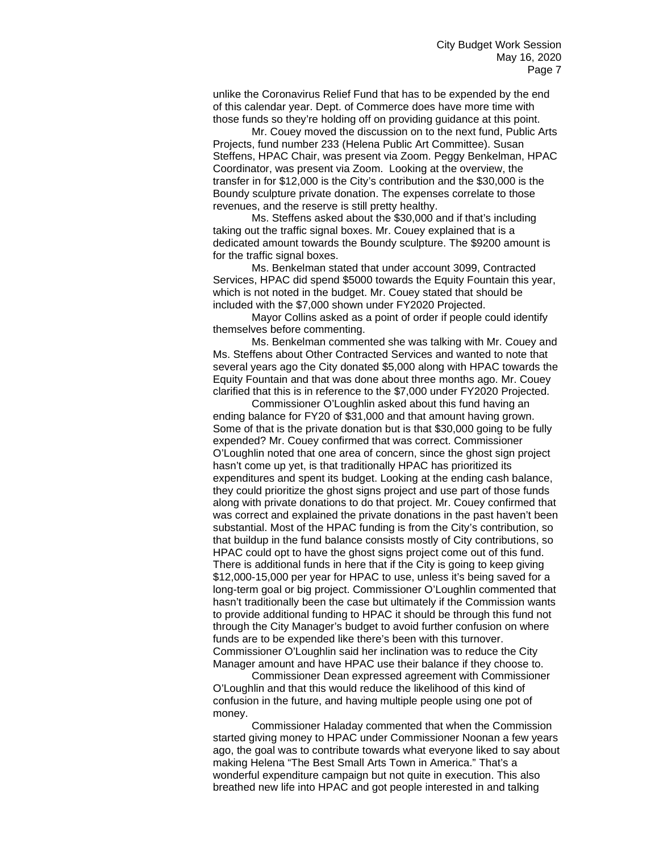unlike the Coronavirus Relief Fund that has to be expended by the end of this calendar year. Dept. of Commerce does have more time with those funds so they're holding off on providing guidance at this point.

Mr. Couey moved the discussion on to the next fund, Public Arts Projects, fund number 233 (Helena Public Art Committee). Susan Steffens, HPAC Chair, was present via Zoom. Peggy Benkelman, HPAC Coordinator, was present via Zoom. Looking at the overview, the transfer in for \$12,000 is the City's contribution and the \$30,000 is the Boundy sculpture private donation. The expenses correlate to those revenues, and the reserve is still pretty healthy.

Ms. Steffens asked about the \$30,000 and if that's including taking out the traffic signal boxes. Mr. Couey explained that is a dedicated amount towards the Boundy sculpture. The \$9200 amount is for the traffic signal boxes.

Ms. Benkelman stated that under account 3099, Contracted Services, HPAC did spend \$5000 towards the Equity Fountain this year, which is not noted in the budget. Mr. Couey stated that should be included with the \$7,000 shown under FY2020 Projected.

Mayor Collins asked as a point of order if people could identify themselves before commenting.

Ms. Benkelman commented she was talking with Mr. Couey and Ms. Steffens about Other Contracted Services and wanted to note that several years ago the City donated \$5,000 along with HPAC towards the Equity Fountain and that was done about three months ago. Mr. Couey clarified that this is in reference to the \$7,000 under FY2020 Projected.

Commissioner O'Loughlin asked about this fund having an ending balance for FY20 of \$31,000 and that amount having grown. Some of that is the private donation but is that \$30,000 going to be fully expended? Mr. Couey confirmed that was correct. Commissioner O'Loughlin noted that one area of concern, since the ghost sign project hasn't come up yet, is that traditionally HPAC has prioritized its expenditures and spent its budget. Looking at the ending cash balance, they could prioritize the ghost signs project and use part of those funds along with private donations to do that project. Mr. Couey confirmed that was correct and explained the private donations in the past haven't been substantial. Most of the HPAC funding is from the City's contribution, so that buildup in the fund balance consists mostly of City contributions, so HPAC could opt to have the ghost signs project come out of this fund. There is additional funds in here that if the City is going to keep giving \$12,000-15,000 per year for HPAC to use, unless it's being saved for a long-term goal or big project. Commissioner O'Loughlin commented that hasn't traditionally been the case but ultimately if the Commission wants to provide additional funding to HPAC it should be through this fund not through the City Manager's budget to avoid further confusion on where funds are to be expended like there's been with this turnover. Commissioner O'Loughlin said her inclination was to reduce the City Manager amount and have HPAC use their balance if they choose to.

Commissioner Dean expressed agreement with Commissioner O'Loughlin and that this would reduce the likelihood of this kind of confusion in the future, and having multiple people using one pot of money.

Commissioner Haladay commented that when the Commission started giving money to HPAC under Commissioner Noonan a few years ago, the goal was to contribute towards what everyone liked to say about making Helena "The Best Small Arts Town in America." That's a wonderful expenditure campaign but not quite in execution. This also breathed new life into HPAC and got people interested in and talking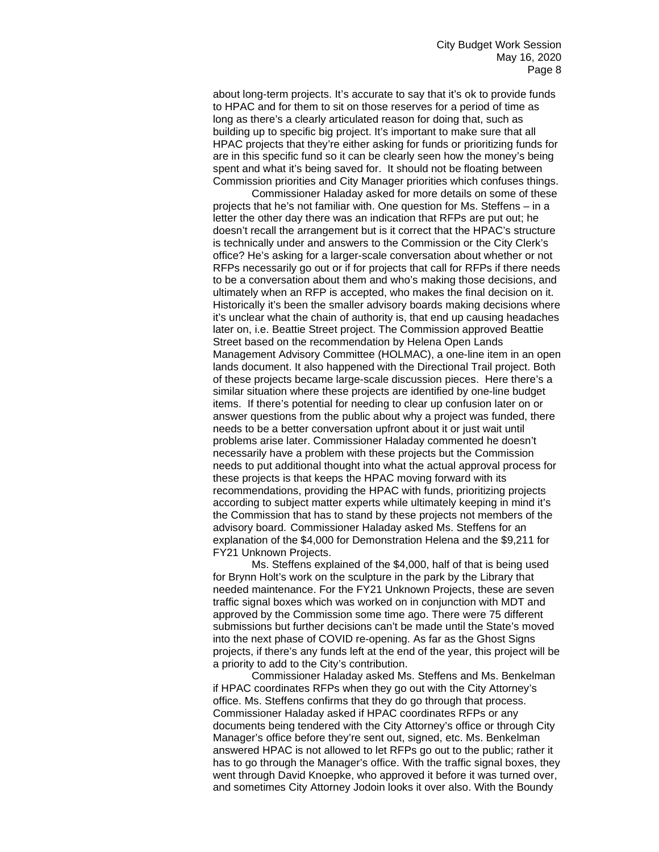about long-term projects. It's accurate to say that it's ok to provide funds to HPAC and for them to sit on those reserves for a period of time as long as there's a clearly articulated reason for doing that, such as building up to specific big project. It's important to make sure that all HPAC projects that they're either asking for funds or prioritizing funds for are in this specific fund so it can be clearly seen how the money's being spent and what it's being saved for. It should not be floating between Commission priorities and City Manager priorities which confuses things.

Commissioner Haladay asked for more details on some of these projects that he's not familiar with. One question for Ms. Steffens – in a letter the other day there was an indication that RFPs are put out; he doesn't recall the arrangement but is it correct that the HPAC's structure is technically under and answers to the Commission or the City Clerk's office? He's asking for a larger-scale conversation about whether or not RFPs necessarily go out or if for projects that call for RFPs if there needs to be a conversation about them and who's making those decisions, and ultimately when an RFP is accepted, who makes the final decision on it. Historically it's been the smaller advisory boards making decisions where it's unclear what the chain of authority is, that end up causing headaches later on, i.e. Beattie Street project. The Commission approved Beattie Street based on the recommendation by Helena Open Lands Management Advisory Committee (HOLMAC), a one-line item in an open lands document. It also happened with the Directional Trail project. Both of these projects became large-scale discussion pieces. Here there's a similar situation where these projects are identified by one-line budget items. If there's potential for needing to clear up confusion later on or answer questions from the public about why a project was funded, there needs to be a better conversation upfront about it or just wait until problems arise later. Commissioner Haladay commented he doesn't necessarily have a problem with these projects but the Commission needs to put additional thought into what the actual approval process for these projects is that keeps the HPAC moving forward with its recommendations, providing the HPAC with funds, prioritizing projects according to subject matter experts while ultimately keeping in mind it's the Commission that has to stand by these projects not members of the advisory board. Commissioner Haladay asked Ms. Steffens for an explanation of the \$4,000 for Demonstration Helena and the \$9,211 for FY21 Unknown Projects.

Ms. Steffens explained of the \$4,000, half of that is being used for Brynn Holt's work on the sculpture in the park by the Library that needed maintenance. For the FY21 Unknown Projects, these are seven traffic signal boxes which was worked on in conjunction with MDT and approved by the Commission some time ago. There were 75 different submissions but further decisions can't be made until the State's moved into the next phase of COVID re-opening. As far as the Ghost Signs projects, if there's any funds left at the end of the year, this project will be a priority to add to the City's contribution.

Commissioner Haladay asked Ms. Steffens and Ms. Benkelman if HPAC coordinates RFPs when they go out with the City Attorney's office. Ms. Steffens confirms that they do go through that process. Commissioner Haladay asked if HPAC coordinates RFPs or any documents being tendered with the City Attorney's office or through City Manager's office before they're sent out, signed, etc. Ms. Benkelman answered HPAC is not allowed to let RFPs go out to the public; rather it has to go through the Manager's office. With the traffic signal boxes, they went through David Knoepke, who approved it before it was turned over, and sometimes City Attorney Jodoin looks it over also. With the Boundy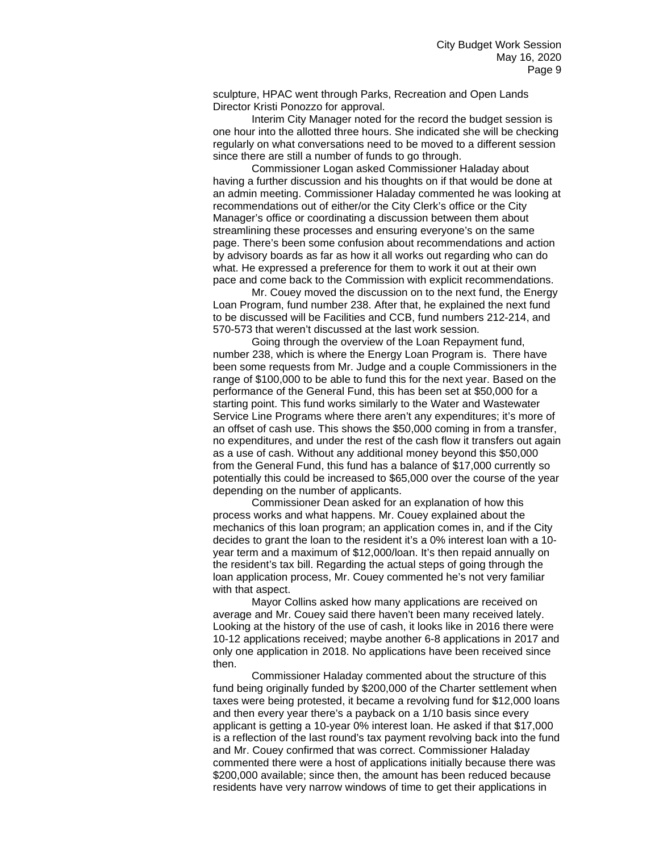sculpture, HPAC went through Parks, Recreation and Open Lands Director Kristi Ponozzo for approval.

Interim City Manager noted for the record the budget session is one hour into the allotted three hours. She indicated she will be checking regularly on what conversations need to be moved to a different session since there are still a number of funds to go through.

Commissioner Logan asked Commissioner Haladay about having a further discussion and his thoughts on if that would be done at an admin meeting. Commissioner Haladay commented he was looking at recommendations out of either/or the City Clerk's office or the City Manager's office or coordinating a discussion between them about streamlining these processes and ensuring everyone's on the same page. There's been some confusion about recommendations and action by advisory boards as far as how it all works out regarding who can do what. He expressed a preference for them to work it out at their own pace and come back to the Commission with explicit recommendations.

Mr. Couey moved the discussion on to the next fund, the Energy Loan Program, fund number 238. After that, he explained the next fund to be discussed will be Facilities and CCB, fund numbers 212-214, and 570-573 that weren't discussed at the last work session.

Going through the overview of the Loan Repayment fund, number 238, which is where the Energy Loan Program is. There have been some requests from Mr. Judge and a couple Commissioners in the range of \$100,000 to be able to fund this for the next year. Based on the performance of the General Fund, this has been set at \$50,000 for a starting point. This fund works similarly to the Water and Wastewater Service Line Programs where there aren't any expenditures; it's more of an offset of cash use. This shows the \$50,000 coming in from a transfer, no expenditures, and under the rest of the cash flow it transfers out again as a use of cash. Without any additional money beyond this \$50,000 from the General Fund, this fund has a balance of \$17,000 currently so potentially this could be increased to \$65,000 over the course of the year depending on the number of applicants.

Commissioner Dean asked for an explanation of how this process works and what happens. Mr. Couey explained about the mechanics of this loan program; an application comes in, and if the City decides to grant the loan to the resident it's a 0% interest loan with a 10 year term and a maximum of \$12,000/loan. It's then repaid annually on the resident's tax bill. Regarding the actual steps of going through the loan application process, Mr. Couey commented he's not very familiar with that aspect.

Mayor Collins asked how many applications are received on average and Mr. Couey said there haven't been many received lately. Looking at the history of the use of cash, it looks like in 2016 there were 10-12 applications received; maybe another 6-8 applications in 2017 and only one application in 2018. No applications have been received since then.

Commissioner Haladay commented about the structure of this fund being originally funded by \$200,000 of the Charter settlement when taxes were being protested, it became a revolving fund for \$12,000 loans and then every year there's a payback on a 1/10 basis since every applicant is getting a 10-year 0% interest loan. He asked if that \$17,000 is a reflection of the last round's tax payment revolving back into the fund and Mr. Couey confirmed that was correct. Commissioner Haladay commented there were a host of applications initially because there was \$200,000 available; since then, the amount has been reduced because residents have very narrow windows of time to get their applications in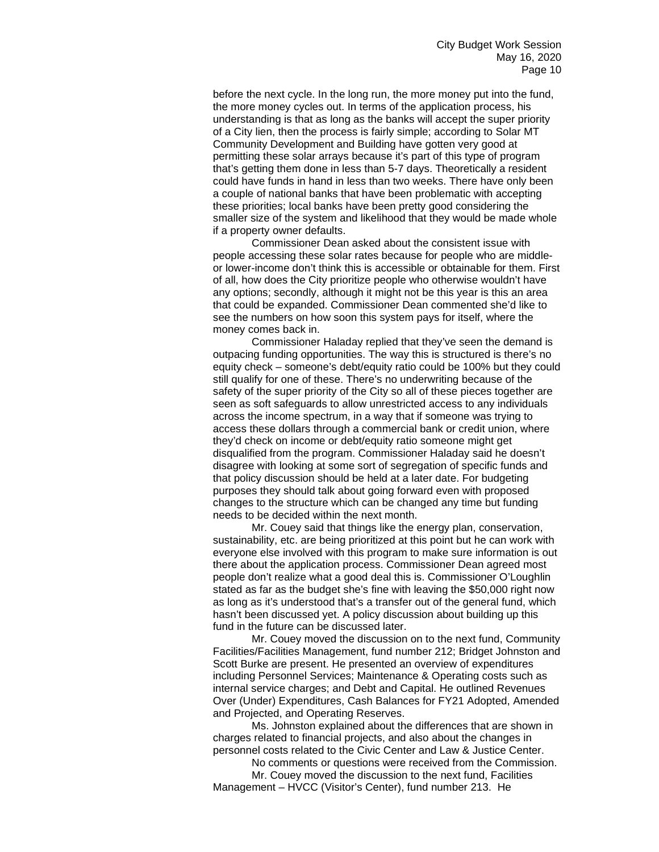before the next cycle. In the long run, the more money put into the fund, the more money cycles out. In terms of the application process, his understanding is that as long as the banks will accept the super priority of a City lien, then the process is fairly simple; according to Solar MT Community Development and Building have gotten very good at permitting these solar arrays because it's part of this type of program that's getting them done in less than 5-7 days. Theoretically a resident could have funds in hand in less than two weeks. There have only been a couple of national banks that have been problematic with accepting these priorities; local banks have been pretty good considering the smaller size of the system and likelihood that they would be made whole if a property owner defaults.

Commissioner Dean asked about the consistent issue with people accessing these solar rates because for people who are middleor lower-income don't think this is accessible or obtainable for them. First of all, how does the City prioritize people who otherwise wouldn't have any options; secondly, although it might not be this year is this an area that could be expanded. Commissioner Dean commented she'd like to see the numbers on how soon this system pays for itself, where the money comes back in.

Commissioner Haladay replied that they've seen the demand is outpacing funding opportunities. The way this is structured is there's no equity check – someone's debt/equity ratio could be 100% but they could still qualify for one of these. There's no underwriting because of the safety of the super priority of the City so all of these pieces together are seen as soft safeguards to allow unrestricted access to any individuals across the income spectrum, in a way that if someone was trying to access these dollars through a commercial bank or credit union, where they'd check on income or debt/equity ratio someone might get disqualified from the program. Commissioner Haladay said he doesn't disagree with looking at some sort of segregation of specific funds and that policy discussion should be held at a later date. For budgeting purposes they should talk about going forward even with proposed changes to the structure which can be changed any time but funding needs to be decided within the next month.

Mr. Couey said that things like the energy plan, conservation, sustainability, etc. are being prioritized at this point but he can work with everyone else involved with this program to make sure information is out there about the application process. Commissioner Dean agreed most people don't realize what a good deal this is. Commissioner O'Loughlin stated as far as the budget she's fine with leaving the \$50,000 right now as long as it's understood that's a transfer out of the general fund, which hasn't been discussed yet. A policy discussion about building up this fund in the future can be discussed later.

Mr. Couey moved the discussion on to the next fund, Community Facilities/Facilities Management, fund number 212; Bridget Johnston and Scott Burke are present. He presented an overview of expenditures including Personnel Services; Maintenance & Operating costs such as internal service charges; and Debt and Capital. He outlined Revenues Over (Under) Expenditures, Cash Balances for FY21 Adopted, Amended and Projected, and Operating Reserves.

Ms. Johnston explained about the differences that are shown in charges related to financial projects, and also about the changes in personnel costs related to the Civic Center and Law & Justice Center.

No comments or questions were received from the Commission. Mr. Couey moved the discussion to the next fund, Facilities

Management – HVCC (Visitor's Center), fund number 213. He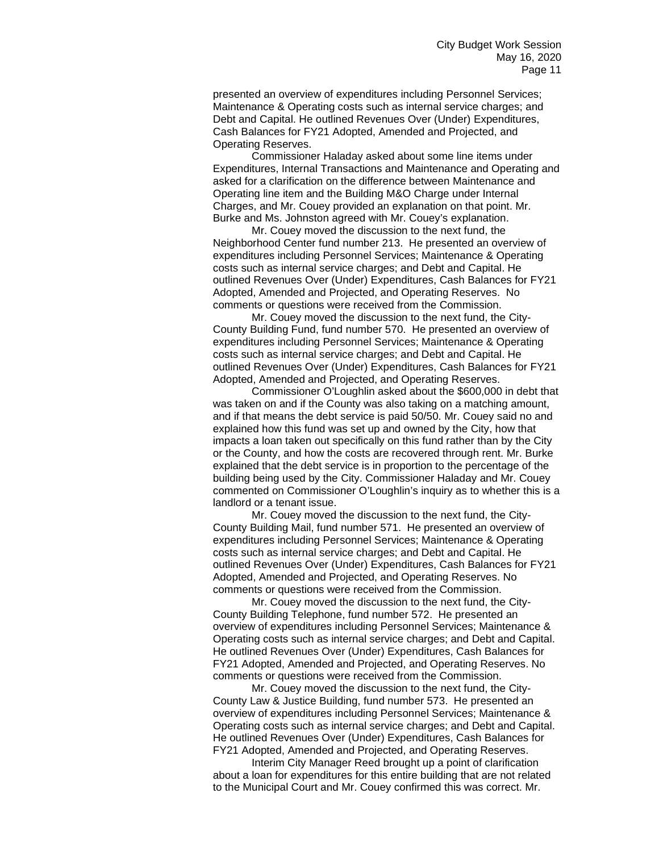presented an overview of expenditures including Personnel Services; Maintenance & Operating costs such as internal service charges; and Debt and Capital. He outlined Revenues Over (Under) Expenditures, Cash Balances for FY21 Adopted, Amended and Projected, and Operating Reserves.

Commissioner Haladay asked about some line items under Expenditures, Internal Transactions and Maintenance and Operating and asked for a clarification on the difference between Maintenance and Operating line item and the Building M&O Charge under Internal Charges, and Mr. Couey provided an explanation on that point. Mr. Burke and Ms. Johnston agreed with Mr. Couey's explanation.

Mr. Couey moved the discussion to the next fund, the Neighborhood Center fund number 213. He presented an overview of expenditures including Personnel Services; Maintenance & Operating costs such as internal service charges; and Debt and Capital. He outlined Revenues Over (Under) Expenditures, Cash Balances for FY21 Adopted, Amended and Projected, and Operating Reserves. No comments or questions were received from the Commission.

Mr. Couey moved the discussion to the next fund, the City-County Building Fund, fund number 570. He presented an overview of expenditures including Personnel Services; Maintenance & Operating costs such as internal service charges; and Debt and Capital. He outlined Revenues Over (Under) Expenditures, Cash Balances for FY21 Adopted, Amended and Projected, and Operating Reserves.

Commissioner O'Loughlin asked about the \$600,000 in debt that was taken on and if the County was also taking on a matching amount, and if that means the debt service is paid 50/50. Mr. Couey said no and explained how this fund was set up and owned by the City, how that impacts a loan taken out specifically on this fund rather than by the City or the County, and how the costs are recovered through rent. Mr. Burke explained that the debt service is in proportion to the percentage of the building being used by the City. Commissioner Haladay and Mr. Couey commented on Commissioner O'Loughlin's inquiry as to whether this is a landlord or a tenant issue.

Mr. Couey moved the discussion to the next fund, the City-County Building Mail, fund number 571. He presented an overview of expenditures including Personnel Services; Maintenance & Operating costs such as internal service charges; and Debt and Capital. He outlined Revenues Over (Under) Expenditures, Cash Balances for FY21 Adopted, Amended and Projected, and Operating Reserves. No comments or questions were received from the Commission.

Mr. Couey moved the discussion to the next fund, the City-County Building Telephone, fund number 572. He presented an overview of expenditures including Personnel Services; Maintenance & Operating costs such as internal service charges; and Debt and Capital. He outlined Revenues Over (Under) Expenditures, Cash Balances for FY21 Adopted, Amended and Projected, and Operating Reserves. No comments or questions were received from the Commission.

Mr. Couey moved the discussion to the next fund, the City-County Law & Justice Building, fund number 573. He presented an overview of expenditures including Personnel Services; Maintenance & Operating costs such as internal service charges; and Debt and Capital. He outlined Revenues Over (Under) Expenditures, Cash Balances for FY21 Adopted, Amended and Projected, and Operating Reserves.

Interim City Manager Reed brought up a point of clarification about a loan for expenditures for this entire building that are not related to the Municipal Court and Mr. Couey confirmed this was correct. Mr.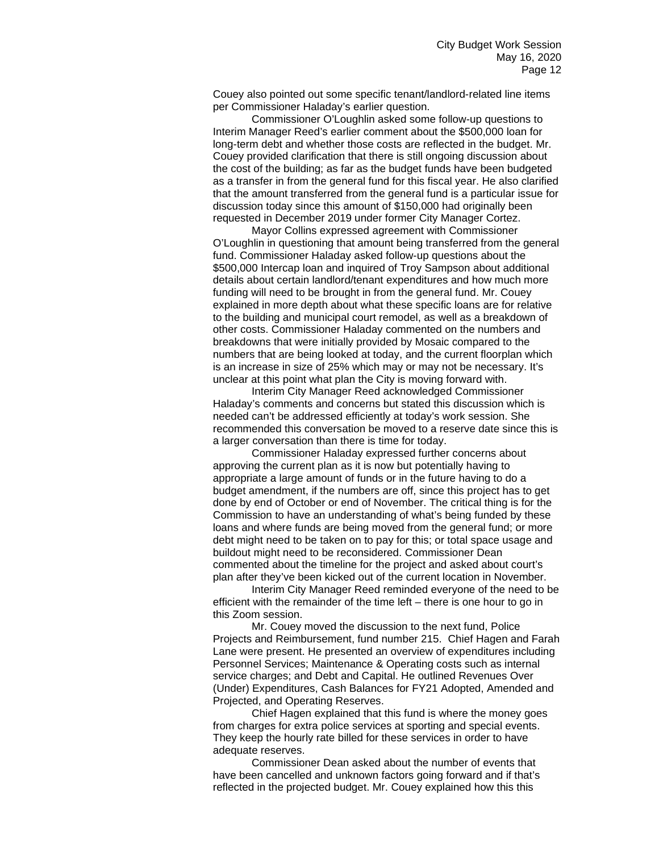Couey also pointed out some specific tenant/landlord-related line items per Commissioner Haladay's earlier question.

Commissioner O'Loughlin asked some follow-up questions to Interim Manager Reed's earlier comment about the \$500,000 loan for long-term debt and whether those costs are reflected in the budget. Mr. Couey provided clarification that there is still ongoing discussion about the cost of the building; as far as the budget funds have been budgeted as a transfer in from the general fund for this fiscal year. He also clarified that the amount transferred from the general fund is a particular issue for discussion today since this amount of \$150,000 had originally been requested in December 2019 under former City Manager Cortez.

Mayor Collins expressed agreement with Commissioner O'Loughlin in questioning that amount being transferred from the general fund. Commissioner Haladay asked follow-up questions about the \$500,000 Intercap loan and inquired of Troy Sampson about additional details about certain landlord/tenant expenditures and how much more funding will need to be brought in from the general fund. Mr. Couey explained in more depth about what these specific loans are for relative to the building and municipal court remodel, as well as a breakdown of other costs. Commissioner Haladay commented on the numbers and breakdowns that were initially provided by Mosaic compared to the numbers that are being looked at today, and the current floorplan which is an increase in size of 25% which may or may not be necessary. It's unclear at this point what plan the City is moving forward with.

Interim City Manager Reed acknowledged Commissioner Haladay's comments and concerns but stated this discussion which is needed can't be addressed efficiently at today's work session. She recommended this conversation be moved to a reserve date since this is a larger conversation than there is time for today.

Commissioner Haladay expressed further concerns about approving the current plan as it is now but potentially having to appropriate a large amount of funds or in the future having to do a budget amendment, if the numbers are off, since this project has to get done by end of October or end of November. The critical thing is for the Commission to have an understanding of what's being funded by these loans and where funds are being moved from the general fund; or more debt might need to be taken on to pay for this; or total space usage and buildout might need to be reconsidered. Commissioner Dean commented about the timeline for the project and asked about court's plan after they've been kicked out of the current location in November.

Interim City Manager Reed reminded everyone of the need to be efficient with the remainder of the time left – there is one hour to go in this Zoom session.

Mr. Couey moved the discussion to the next fund, Police Projects and Reimbursement, fund number 215. Chief Hagen and Farah Lane were present. He presented an overview of expenditures including Personnel Services; Maintenance & Operating costs such as internal service charges; and Debt and Capital. He outlined Revenues Over (Under) Expenditures, Cash Balances for FY21 Adopted, Amended and Projected, and Operating Reserves.

Chief Hagen explained that this fund is where the money goes from charges for extra police services at sporting and special events. They keep the hourly rate billed for these services in order to have adequate reserves.

Commissioner Dean asked about the number of events that have been cancelled and unknown factors going forward and if that's reflected in the projected budget. Mr. Couey explained how this this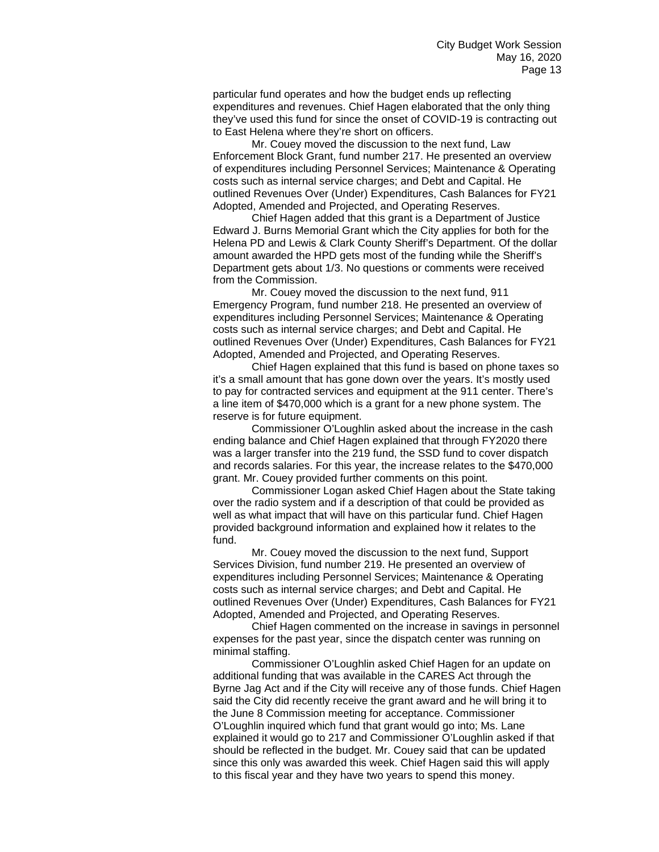particular fund operates and how the budget ends up reflecting expenditures and revenues. Chief Hagen elaborated that the only thing they've used this fund for since the onset of COVID-19 is contracting out to East Helena where they're short on officers.

Mr. Couey moved the discussion to the next fund, Law Enforcement Block Grant, fund number 217. He presented an overview of expenditures including Personnel Services; Maintenance & Operating costs such as internal service charges; and Debt and Capital. He outlined Revenues Over (Under) Expenditures, Cash Balances for FY21 Adopted, Amended and Projected, and Operating Reserves.

Chief Hagen added that this grant is a Department of Justice Edward J. Burns Memorial Grant which the City applies for both for the Helena PD and Lewis & Clark County Sheriff's Department. Of the dollar amount awarded the HPD gets most of the funding while the Sheriff's Department gets about 1/3. No questions or comments were received from the Commission.

Mr. Couey moved the discussion to the next fund, 911 Emergency Program, fund number 218. He presented an overview of expenditures including Personnel Services; Maintenance & Operating costs such as internal service charges; and Debt and Capital. He outlined Revenues Over (Under) Expenditures, Cash Balances for FY21 Adopted, Amended and Projected, and Operating Reserves.

Chief Hagen explained that this fund is based on phone taxes so it's a small amount that has gone down over the years. It's mostly used to pay for contracted services and equipment at the 911 center. There's a line item of \$470,000 which is a grant for a new phone system. The reserve is for future equipment.

Commissioner O'Loughlin asked about the increase in the cash ending balance and Chief Hagen explained that through FY2020 there was a larger transfer into the 219 fund, the SSD fund to cover dispatch and records salaries. For this year, the increase relates to the \$470,000 grant. Mr. Couey provided further comments on this point.

Commissioner Logan asked Chief Hagen about the State taking over the radio system and if a description of that could be provided as well as what impact that will have on this particular fund. Chief Hagen provided background information and explained how it relates to the fund.

Mr. Couey moved the discussion to the next fund, Support Services Division, fund number 219. He presented an overview of expenditures including Personnel Services; Maintenance & Operating costs such as internal service charges; and Debt and Capital. He outlined Revenues Over (Under) Expenditures, Cash Balances for FY21 Adopted, Amended and Projected, and Operating Reserves.

Chief Hagen commented on the increase in savings in personnel expenses for the past year, since the dispatch center was running on minimal staffing.

Commissioner O'Loughlin asked Chief Hagen for an update on additional funding that was available in the CARES Act through the Byrne Jag Act and if the City will receive any of those funds. Chief Hagen said the City did recently receive the grant award and he will bring it to the June 8 Commission meeting for acceptance. Commissioner O'Loughlin inquired which fund that grant would go into; Ms. Lane explained it would go to 217 and Commissioner O'Loughlin asked if that should be reflected in the budget. Mr. Couey said that can be updated since this only was awarded this week. Chief Hagen said this will apply to this fiscal year and they have two years to spend this money.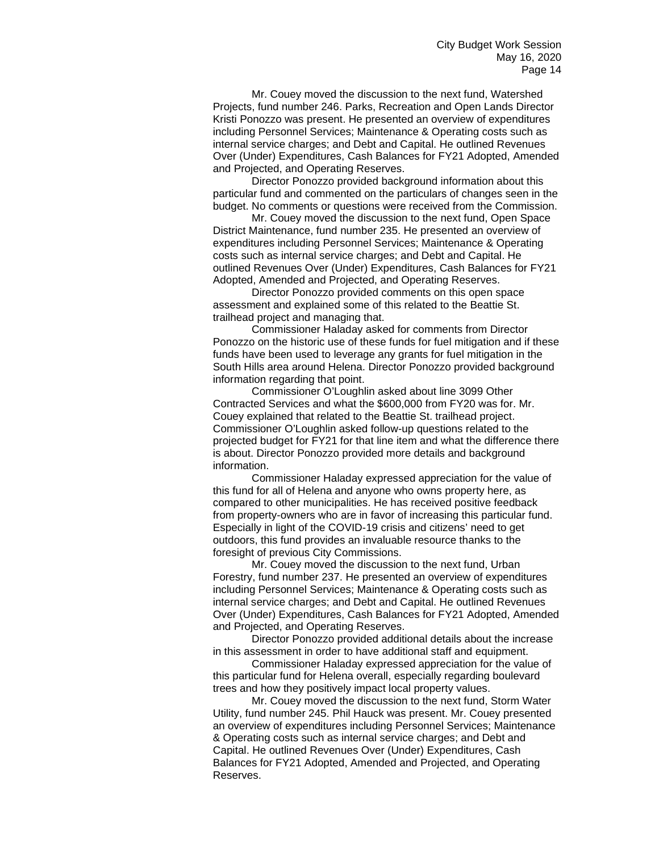Mr. Couey moved the discussion to the next fund, Watershed Projects, fund number 246. Parks, Recreation and Open Lands Director Kristi Ponozzo was present. He presented an overview of expenditures including Personnel Services; Maintenance & Operating costs such as internal service charges; and Debt and Capital. He outlined Revenues Over (Under) Expenditures, Cash Balances for FY21 Adopted, Amended and Projected, and Operating Reserves.

Director Ponozzo provided background information about this particular fund and commented on the particulars of changes seen in the budget. No comments or questions were received from the Commission.

Mr. Couey moved the discussion to the next fund, Open Space District Maintenance, fund number 235. He presented an overview of expenditures including Personnel Services; Maintenance & Operating costs such as internal service charges; and Debt and Capital. He outlined Revenues Over (Under) Expenditures, Cash Balances for FY21 Adopted, Amended and Projected, and Operating Reserves.

Director Ponozzo provided comments on this open space assessment and explained some of this related to the Beattie St. trailhead project and managing that.

Commissioner Haladay asked for comments from Director Ponozzo on the historic use of these funds for fuel mitigation and if these funds have been used to leverage any grants for fuel mitigation in the South Hills area around Helena. Director Ponozzo provided background information regarding that point.

Commissioner O'Loughlin asked about line 3099 Other Contracted Services and what the \$600,000 from FY20 was for. Mr. Couey explained that related to the Beattie St. trailhead project. Commissioner O'Loughlin asked follow-up questions related to the projected budget for FY21 for that line item and what the difference there is about. Director Ponozzo provided more details and background information.

Commissioner Haladay expressed appreciation for the value of this fund for all of Helena and anyone who owns property here, as compared to other municipalities. He has received positive feedback from property-owners who are in favor of increasing this particular fund. Especially in light of the COVID-19 crisis and citizens' need to get outdoors, this fund provides an invaluable resource thanks to the foresight of previous City Commissions.

Mr. Couey moved the discussion to the next fund, Urban Forestry, fund number 237. He presented an overview of expenditures including Personnel Services; Maintenance & Operating costs such as internal service charges; and Debt and Capital. He outlined Revenues Over (Under) Expenditures, Cash Balances for FY21 Adopted, Amended and Projected, and Operating Reserves.

Director Ponozzo provided additional details about the increase in this assessment in order to have additional staff and equipment.

Commissioner Haladay expressed appreciation for the value of this particular fund for Helena overall, especially regarding boulevard trees and how they positively impact local property values.

Mr. Couey moved the discussion to the next fund, Storm Water Utility, fund number 245. Phil Hauck was present. Mr. Couey presented an overview of expenditures including Personnel Services; Maintenance & Operating costs such as internal service charges; and Debt and Capital. He outlined Revenues Over (Under) Expenditures, Cash Balances for FY21 Adopted, Amended and Projected, and Operating Reserves.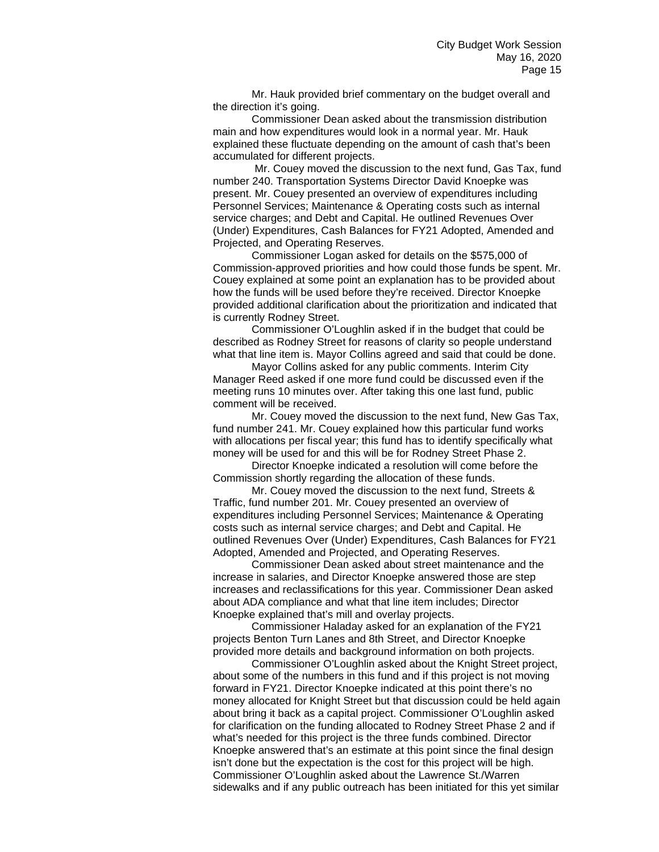Mr. Hauk provided brief commentary on the budget overall and the direction it's going.

Commissioner Dean asked about the transmission distribution main and how expenditures would look in a normal year. Mr. Hauk explained these fluctuate depending on the amount of cash that's been accumulated for different projects.

Mr. Couey moved the discussion to the next fund, Gas Tax, fund number 240. Transportation Systems Director David Knoepke was present. Mr. Couey presented an overview of expenditures including Personnel Services; Maintenance & Operating costs such as internal service charges; and Debt and Capital. He outlined Revenues Over (Under) Expenditures, Cash Balances for FY21 Adopted, Amended and Projected, and Operating Reserves.

Commissioner Logan asked for details on the \$575,000 of Commission-approved priorities and how could those funds be spent. Mr. Couey explained at some point an explanation has to be provided about how the funds will be used before they're received. Director Knoepke provided additional clarification about the prioritization and indicated that is currently Rodney Street.

Commissioner O'Loughlin asked if in the budget that could be described as Rodney Street for reasons of clarity so people understand what that line item is. Mayor Collins agreed and said that could be done.

Mayor Collins asked for any public comments. Interim City Manager Reed asked if one more fund could be discussed even if the meeting runs 10 minutes over. After taking this one last fund, public comment will be received.

Mr. Couey moved the discussion to the next fund, New Gas Tax, fund number 241. Mr. Couey explained how this particular fund works with allocations per fiscal year; this fund has to identify specifically what money will be used for and this will be for Rodney Street Phase 2.

Director Knoepke indicated a resolution will come before the Commission shortly regarding the allocation of these funds.

Mr. Couey moved the discussion to the next fund, Streets & Traffic, fund number 201. Mr. Couey presented an overview of expenditures including Personnel Services; Maintenance & Operating costs such as internal service charges; and Debt and Capital. He outlined Revenues Over (Under) Expenditures, Cash Balances for FY21 Adopted, Amended and Projected, and Operating Reserves.

Commissioner Dean asked about street maintenance and the increase in salaries, and Director Knoepke answered those are step increases and reclassifications for this year. Commissioner Dean asked about ADA compliance and what that line item includes; Director Knoepke explained that's mill and overlay projects.

Commissioner Haladay asked for an explanation of the FY21 projects Benton Turn Lanes and 8th Street, and Director Knoepke provided more details and background information on both projects.

Commissioner O'Loughlin asked about the Knight Street project, about some of the numbers in this fund and if this project is not moving forward in FY21. Director Knoepke indicated at this point there's no money allocated for Knight Street but that discussion could be held again about bring it back as a capital project. Commissioner O'Loughlin asked for clarification on the funding allocated to Rodney Street Phase 2 and if what's needed for this project is the three funds combined. Director Knoepke answered that's an estimate at this point since the final design isn't done but the expectation is the cost for this project will be high. Commissioner O'Loughlin asked about the Lawrence St./Warren sidewalks and if any public outreach has been initiated for this yet similar